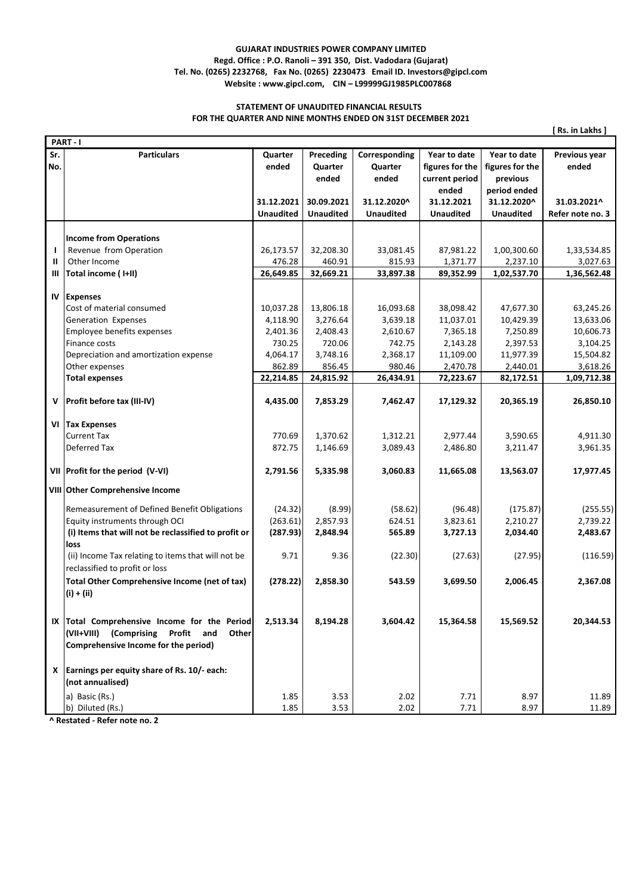## **GUJARAT INDUSTRIES POWER COMPANY LIMITED Regd. Office : P.O. Ranoli – 391 350, Dist. Vadodara (Gujarat) Tel. No. (0265) 2232768, Fax No. (0265) 2230473 Email ID. Investors@gipcl.com Website : www.gipcl.com, CIN – L99999GJ1985PLC007868**

## **STATEMENT OF UNAUDITED FINANCIAL RESULTS FOR THE QUARTER AND NINE MONTHS ENDED ON 31ST DECEMBER 2021**

**[ Rs. in Lakhs ]**

|            | PART-I                                                                                                                                      |                  |                               |                                   |                                                            |                                                             |                        |  |  |  |  |
|------------|---------------------------------------------------------------------------------------------------------------------------------------------|------------------|-------------------------------|-----------------------------------|------------------------------------------------------------|-------------------------------------------------------------|------------------------|--|--|--|--|
| Sr.<br>No. | <b>Particulars</b>                                                                                                                          | Quarter<br>ended | Preceding<br>Quarter<br>ended | Corresponding<br>Quarter<br>ended | Year to date<br>figures for the<br>current period<br>ended | Year to date<br>figures for the<br>previous<br>period ended | Previous year<br>ended |  |  |  |  |
|            |                                                                                                                                             | 31.12.2021       | 30.09.2021                    | 31.12.2020^                       | 31.12.2021                                                 | 31.12.2020^                                                 | 31.03.2021^            |  |  |  |  |
|            |                                                                                                                                             | Unaudited        | <b>Unaudited</b>              | <b>Unaudited</b>                  | <b>Unaudited</b>                                           | <b>Unaudited</b>                                            | Refer note no. 3       |  |  |  |  |
|            |                                                                                                                                             |                  |                               |                                   |                                                            |                                                             |                        |  |  |  |  |
|            | <b>Income from Operations</b>                                                                                                               |                  |                               |                                   |                                                            |                                                             |                        |  |  |  |  |
| ı          | Revenue from Operation                                                                                                                      | 26,173.57        | 32,208.30                     | 33,081.45                         | 87,981.22                                                  | 1,00,300.60                                                 | 1,33,534.85            |  |  |  |  |
| Ш          | Other Income                                                                                                                                | 476.28           | 460.91                        | 815.93                            | 1,371.77                                                   | 2,237.10                                                    | 3,027.63               |  |  |  |  |
| Ш          | Total income (I+II)                                                                                                                         | 26,649.85        | 32,669.21                     | 33,897.38                         | 89,352.99                                                  | 1,02,537.70                                                 | 1,36,562.48            |  |  |  |  |
|            |                                                                                                                                             |                  |                               |                                   |                                                            |                                                             |                        |  |  |  |  |
| IV         | <b>Expenses</b>                                                                                                                             |                  |                               |                                   |                                                            |                                                             |                        |  |  |  |  |
|            | Cost of material consumed                                                                                                                   | 10,037.28        | 13,806.18                     | 16,093.68                         | 38,098.42                                                  | 47,677.30                                                   | 63,245.26              |  |  |  |  |
|            | Generation Expenses                                                                                                                         | 4,118.90         | 3,276.64                      | 3,639.18                          | 11,037.01                                                  | 10,429.39                                                   | 13,633.06              |  |  |  |  |
|            | Employee benefits expenses                                                                                                                  | 2,401.36         | 2,408.43                      | 2,610.67                          | 7,365.18                                                   | 7,250.89                                                    | 10,606.73              |  |  |  |  |
|            | Finance costs                                                                                                                               | 730.25           | 720.06                        | 742.75                            | 2,143.28                                                   | 2,397.53                                                    | 3,104.25               |  |  |  |  |
|            | Depreciation and amortization expense                                                                                                       | 4,064.17         | 3,748.16                      | 2,368.17                          | 11,109.00                                                  | 11,977.39                                                   | 15,504.82              |  |  |  |  |
|            | Other expenses                                                                                                                              | 862.89           | 856.45                        | 980.46                            | 2,470.78                                                   | 2,440.01                                                    | 3,618.26               |  |  |  |  |
|            | <b>Total expenses</b>                                                                                                                       | 22,214.85        | 24,815.92                     | 26,434.91                         | 72,223.67                                                  | 82,172.51                                                   | 1,09,712.38            |  |  |  |  |
|            | V   Profit before tax (III-IV)                                                                                                              | 4,435.00         | 7,853.29                      | 7,462.47                          | 17,129.32                                                  | 20,365.19                                                   | 26,850.10              |  |  |  |  |
|            | VI Tax Expenses                                                                                                                             |                  |                               |                                   |                                                            |                                                             |                        |  |  |  |  |
|            | <b>Current Tax</b>                                                                                                                          | 770.69           | 1,370.62                      | 1,312.21                          | 2,977.44                                                   | 3,590.65                                                    | 4,911.30               |  |  |  |  |
|            | Deferred Tax                                                                                                                                | 872.75           | 1,146.69                      | 3,089.43                          | 2,486.80                                                   | 3,211.47                                                    | 3,961.35               |  |  |  |  |
|            |                                                                                                                                             |                  |                               |                                   |                                                            |                                                             |                        |  |  |  |  |
|            | VII Profit for the period (V-VI)                                                                                                            | 2,791.56         | 5,335.98                      | 3,060.83                          | 11,665.08                                                  | 13,563.07                                                   | 17,977.45              |  |  |  |  |
|            | VIII Other Comprehensive Income                                                                                                             |                  |                               |                                   |                                                            |                                                             |                        |  |  |  |  |
|            | Remeasurement of Defined Benefit Obligations                                                                                                | (24.32)          | (8.99)                        | (58.62)                           | (96.48)                                                    | (175.87)                                                    | (255.55)               |  |  |  |  |
|            | Equity instruments through OCI                                                                                                              | (263.61)         | 2,857.93                      | 624.51                            | 3,823.61                                                   | 2,210.27                                                    | 2,739.22               |  |  |  |  |
|            | (i) Items that will not be reclassified to profit or                                                                                        | (287.93)         | 2,848.94                      | 565.89                            | 3,727.13                                                   | 2,034.40                                                    | 2,483.67               |  |  |  |  |
|            | <b>loss</b>                                                                                                                                 |                  |                               |                                   |                                                            |                                                             |                        |  |  |  |  |
|            | (ii) Income Tax relating to items that will not be<br>reclassified to profit or loss                                                        | 9.71             | 9.36                          | (22.30)                           | (27.63)                                                    | (27.95)                                                     | (116.59)               |  |  |  |  |
|            | Total Other Comprehensive Income (net of tax)<br>$(i) + (ii)$                                                                               | (278.22)         | 2,858.30                      | 543.59                            | 3,699.50                                                   | 2,006.45                                                    | 2,367.08               |  |  |  |  |
|            | IX Total Comprehensive Income for the Period<br>(VII+VIII)<br>(Comprising<br>Profit<br>and<br>Other<br>Comprehensive Income for the period) | 2,513.34         | 8,194.28                      | 3,604.42                          | 15,364.58                                                  | 15,569.52                                                   | 20,344.53              |  |  |  |  |
|            | $X$ Earnings per equity share of Rs. 10/- each:<br>(not annualised)                                                                         |                  |                               |                                   |                                                            |                                                             |                        |  |  |  |  |
|            | a) Basic (Rs.)                                                                                                                              | 1.85             | 3.53                          | 2.02                              | 7.71                                                       | 8.97                                                        | 11.89                  |  |  |  |  |
|            | b) Diluted (Rs.)                                                                                                                            | 1.85             | 3.53                          | 2.02                              | 7.71                                                       | 8.97                                                        | 11.89                  |  |  |  |  |

 **^ Restated - Refer note no. 2**